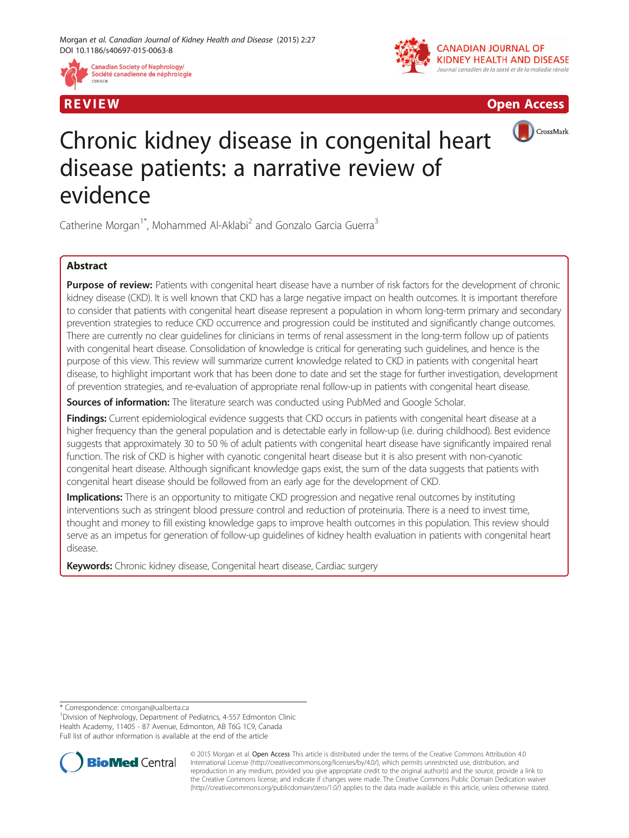

Société canadienne de néphrologie







# Chronic kidney disease in congenital heart disease patients: a narrative review of evidence

Catherine Morgan<sup>1\*</sup>, Mohammed Al-Aklabi<sup>2</sup> and Gonzalo Garcia Guerra<sup>3</sup>

# Abstract

Purpose of review: Patients with congenital heart disease have a number of risk factors for the development of chronic kidney disease (CKD). It is well known that CKD has a large negative impact on health outcomes. It is important therefore to consider that patients with congenital heart disease represent a population in whom long-term primary and secondary prevention strategies to reduce CKD occurrence and progression could be instituted and significantly change outcomes. There are currently no clear guidelines for clinicians in terms of renal assessment in the long-term follow up of patients with congenital heart disease. Consolidation of knowledge is critical for generating such guidelines, and hence is the purpose of this view. This review will summarize current knowledge related to CKD in patients with congenital heart disease, to highlight important work that has been done to date and set the stage for further investigation, development of prevention strategies, and re-evaluation of appropriate renal follow-up in patients with congenital heart disease.

**Sources of information:** The literature search was conducted using PubMed and Google Scholar.

Findings: Current epidemiological evidence suggests that CKD occurs in patients with congenital heart disease at a higher frequency than the general population and is detectable early in follow-up (i.e. during childhood). Best evidence suggests that approximately 30 to 50 % of adult patients with congenital heart disease have significantly impaired renal function. The risk of CKD is higher with cyanotic congenital heart disease but it is also present with non-cyanotic congenital heart disease. Although significant knowledge gaps exist, the sum of the data suggests that patients with congenital heart disease should be followed from an early age for the development of CKD.

**Implications:** There is an opportunity to mitigate CKD progression and negative renal outcomes by instituting interventions such as stringent blood pressure control and reduction of proteinuria. There is a need to invest time, thought and money to fill existing knowledge gaps to improve health outcomes in this population. This review should serve as an impetus for generation of follow-up guidelines of kidney health evaluation in patients with congenital heart disease.

Keywords: Chronic kidney disease, Congenital heart disease, Cardiac surgery

\* Correspondence: [cmorgan@ualberta.ca](mailto:cmorgan@ualberta.ca) <sup>1</sup>

<sup>1</sup> Division of Nephrology, Department of Pediatrics, 4-557 Edmonton Clinic Health Academy, 11405 - 87 Avenue, Edmonton, AB T6G 1C9, Canada Full list of author information is available at the end of the article



© 2015 Morgan et al. Open Access This article is distributed under the terms of the Creative Commons Attribution 4.0 International License [\(http://creativecommons.org/licenses/by/4.0/](http://creativecommons.org/licenses/by/4.0/)), which permits unrestricted use, distribution, and reproduction in any medium, provided you give appropriate credit to the original author(s) and the source, provide a link to the Creative Commons license, and indicate if changes were made. The Creative Commons Public Domain Dedication waiver [\(http://creativecommons.org/publicdomain/zero/1.0/](http://creativecommons.org/publicdomain/zero/1.0/)) applies to the data made available in this article, unless otherwise stated.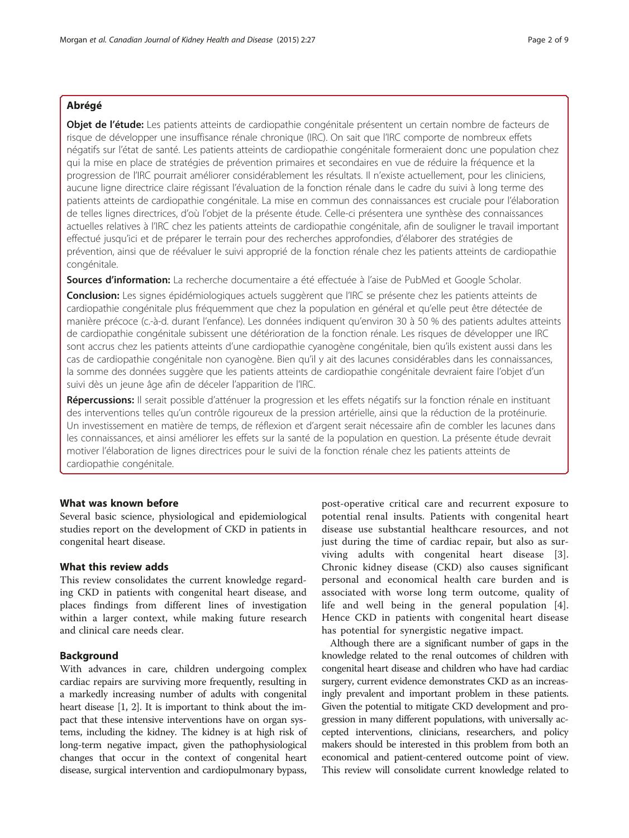## Abrégé

Objet de l'étude: Les patients atteints de cardiopathie congénitale présentent un certain nombre de facteurs de risque de développer une insuffisance rénale chronique (IRC). On sait que l'IRC comporte de nombreux effets négatifs sur l'état de santé. Les patients atteints de cardiopathie congénitale formeraient donc une population chez qui la mise en place de stratégies de prévention primaires et secondaires en vue de réduire la fréquence et la progression de l'IRC pourrait améliorer considérablement les résultats. Il n'existe actuellement, pour les cliniciens, aucune ligne directrice claire régissant l'évaluation de la fonction rénale dans le cadre du suivi à long terme des patients atteints de cardiopathie congénitale. La mise en commun des connaissances est cruciale pour l'élaboration de telles lignes directrices, d'où l'objet de la présente étude. Celle-ci présentera une synthèse des connaissances actuelles relatives à l'IRC chez les patients atteints de cardiopathie congénitale, afin de souligner le travail important effectué jusqu'ici et de préparer le terrain pour des recherches approfondies, d'élaborer des stratégies de prévention, ainsi que de réévaluer le suivi approprié de la fonction rénale chez les patients atteints de cardiopathie congénitale.

Sources d'information: La recherche documentaire a été effectuée à l'aise de PubMed et Google Scholar.

Conclusion: Les signes épidémiologiques actuels suggèrent que l'IRC se présente chez les patients atteints de cardiopathie congénitale plus fréquemment que chez la population en général et qu'elle peut être détectée de manière précoce (c.-à-d. durant l'enfance). Les données indiquent qu'environ 30 à 50 % des patients adultes atteints de cardiopathie congénitale subissent une détérioration de la fonction rénale. Les risques de développer une IRC sont accrus chez les patients atteints d'une cardiopathie cyanogène congénitale, bien qu'ils existent aussi dans les cas de cardiopathie congénitale non cyanogène. Bien qu'il y ait des lacunes considérables dans les connaissances, la somme des données suggère que les patients atteints de cardiopathie congénitale devraient faire l'objet d'un suivi dès un jeune âge afin de déceler l'apparition de l'IRC.

Répercussions: Il serait possible d'atténuer la progression et les effets négatifs sur la fonction rénale en instituant des interventions telles qu'un contrôle rigoureux de la pression artérielle, ainsi que la réduction de la protéinurie. Un investissement en matière de temps, de réflexion et d'argent serait nécessaire afin de combler les lacunes dans les connaissances, et ainsi améliorer les effets sur la santé de la population en question. La présente étude devrait motiver l'élaboration de lignes directrices pour le suivi de la fonction rénale chez les patients atteints de cardiopathie congénitale.

# What was known before

Several basic science, physiological and epidemiological studies report on the development of CKD in patients in congenital heart disease.

#### What this review adds

This review consolidates the current knowledge regarding CKD in patients with congenital heart disease, and places findings from different lines of investigation within a larger context, while making future research and clinical care needs clear.

## Background

With advances in care, children undergoing complex cardiac repairs are surviving more frequently, resulting in a markedly increasing number of adults with congenital heart disease [\[1](#page-7-0), [2](#page-7-0)]. It is important to think about the impact that these intensive interventions have on organ systems, including the kidney. The kidney is at high risk of long-term negative impact, given the pathophysiological changes that occur in the context of congenital heart disease, surgical intervention and cardiopulmonary bypass,

post-operative critical care and recurrent exposure to potential renal insults. Patients with congenital heart disease use substantial healthcare resources, and not just during the time of cardiac repair, but also as surviving adults with congenital heart disease [\[3](#page-7-0)]. Chronic kidney disease (CKD) also causes significant personal and economical health care burden and is associated with worse long term outcome, quality of life and well being in the general population [\[4](#page-7-0)]. Hence CKD in patients with congenital heart disease has potential for synergistic negative impact.

Although there are a significant number of gaps in the knowledge related to the renal outcomes of children with congenital heart disease and children who have had cardiac surgery, current evidence demonstrates CKD as an increasingly prevalent and important problem in these patients. Given the potential to mitigate CKD development and progression in many different populations, with universally accepted interventions, clinicians, researchers, and policy makers should be interested in this problem from both an economical and patient-centered outcome point of view. This review will consolidate current knowledge related to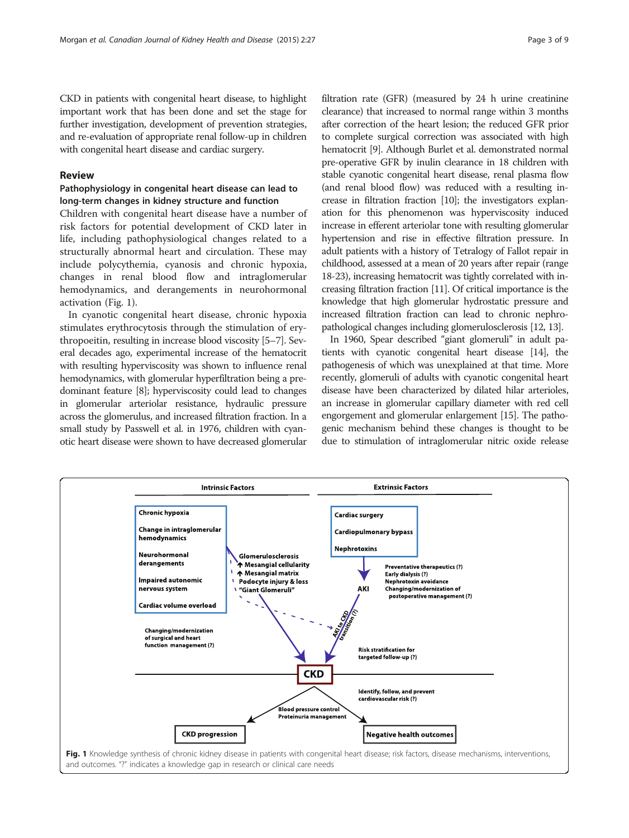<span id="page-2-0"></span>CKD in patients with congenital heart disease, to highlight important work that has been done and set the stage for further investigation, development of prevention strategies, and re-evaluation of appropriate renal follow-up in children with congenital heart disease and cardiac surgery.

#### Review

## Pathophysiology in congenital heart disease can lead to long-term changes in kidney structure and function

Children with congenital heart disease have a number of risk factors for potential development of CKD later in life, including pathophysiological changes related to a structurally abnormal heart and circulation. These may include polycythemia, cyanosis and chronic hypoxia, changes in renal blood flow and intraglomerular hemodynamics, and derangements in neurohormonal activation (Fig. 1).

In cyanotic congenital heart disease, chronic hypoxia stimulates erythrocytosis through the stimulation of erythropoeitin, resulting in increase blood viscosity [\[5](#page-7-0)–[7](#page-7-0)]. Several decades ago, experimental increase of the hematocrit with resulting hyperviscosity was shown to influence renal hemodynamics, with glomerular hyperfiltration being a predominant feature [[8](#page-7-0)]; hyperviscosity could lead to changes in glomerular arteriolar resistance, hydraulic pressure across the glomerulus, and increased filtration fraction. In a small study by Passwell et al. in 1976, children with cyanotic heart disease were shown to have decreased glomerular filtration rate (GFR) (measured by 24 h urine creatinine clearance) that increased to normal range within 3 months after correction of the heart lesion; the reduced GFR prior to complete surgical correction was associated with high hematocrit [\[9\]](#page-7-0). Although Burlet et al. demonstrated normal pre-operative GFR by inulin clearance in 18 children with stable cyanotic congenital heart disease, renal plasma flow (and renal blood flow) was reduced with a resulting increase in filtration fraction [[10](#page-7-0)]; the investigators explanation for this phenomenon was hyperviscosity induced increase in efferent arteriolar tone with resulting glomerular hypertension and rise in effective filtration pressure. In adult patients with a history of Tetralogy of Fallot repair in childhood, assessed at a mean of 20 years after repair (range 18-23), increasing hematocrit was tightly correlated with increasing filtration fraction [\[11\]](#page-7-0). Of critical importance is the knowledge that high glomerular hydrostatic pressure and increased filtration fraction can lead to chronic nephropathological changes including glomerulosclerosis [\[12, 13\]](#page-7-0).

In 1960, Spear described "giant glomeruli" in adult patients with cyanotic congenital heart disease [\[14\]](#page-7-0), the pathogenesis of which was unexplained at that time. More recently, glomeruli of adults with cyanotic congenital heart disease have been characterized by dilated hilar arterioles, an increase in glomerular capillary diameter with red cell engorgement and glomerular enlargement [\[15](#page-7-0)]. The pathogenic mechanism behind these changes is thought to be due to stimulation of intraglomerular nitric oxide release

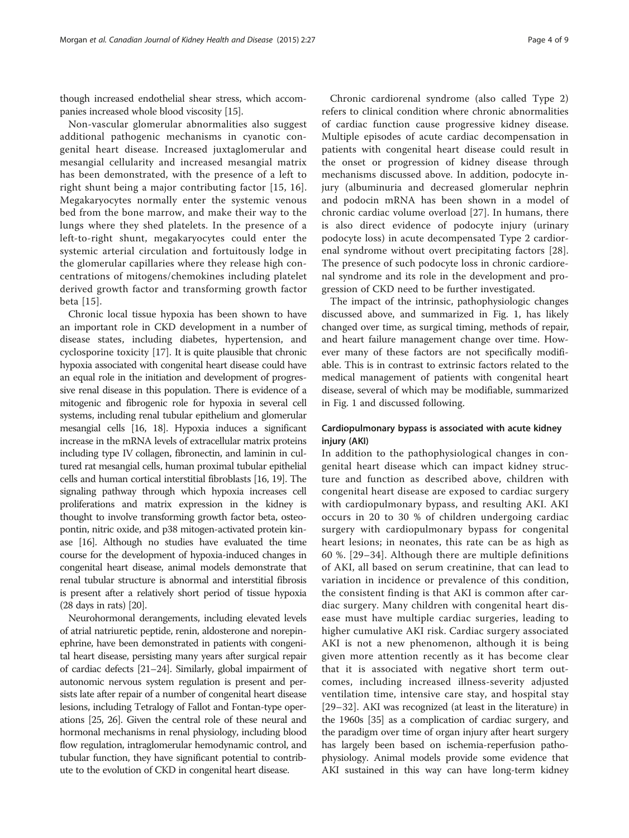though increased endothelial shear stress, which accompanies increased whole blood viscosity [[15](#page-7-0)].

Non-vascular glomerular abnormalities also suggest additional pathogenic mechanisms in cyanotic congenital heart disease. Increased juxtaglomerular and mesangial cellularity and increased mesangial matrix has been demonstrated, with the presence of a left to right shunt being a major contributing factor [[15](#page-7-0), [16](#page-7-0)]. Megakaryocytes normally enter the systemic venous bed from the bone marrow, and make their way to the lungs where they shed platelets. In the presence of a left-to-right shunt, megakaryocytes could enter the systemic arterial circulation and fortuitously lodge in the glomerular capillaries where they release high concentrations of mitogens/chemokines including platelet derived growth factor and transforming growth factor beta [[15](#page-7-0)].

Chronic local tissue hypoxia has been shown to have an important role in CKD development in a number of disease states, including diabetes, hypertension, and cyclosporine toxicity [\[17](#page-7-0)]. It is quite plausible that chronic hypoxia associated with congenital heart disease could have an equal role in the initiation and development of progressive renal disease in this population. There is evidence of a mitogenic and fibrogenic role for hypoxia in several cell systems, including renal tubular epithelium and glomerular mesangial cells [\[16, 18](#page-7-0)]. Hypoxia induces a significant increase in the mRNA levels of extracellular matrix proteins including type IV collagen, fibronectin, and laminin in cultured rat mesangial cells, human proximal tubular epithelial cells and human cortical interstitial fibroblasts [\[16, 19\]](#page-7-0). The signaling pathway through which hypoxia increases cell proliferations and matrix expression in the kidney is thought to involve transforming growth factor beta, osteopontin, nitric oxide, and p38 mitogen-activated protein kinase [\[16\]](#page-7-0). Although no studies have evaluated the time course for the development of hypoxia-induced changes in congenital heart disease, animal models demonstrate that renal tubular structure is abnormal and interstitial fibrosis is present after a relatively short period of tissue hypoxia (28 days in rats) [[20](#page-7-0)].

Neurohormonal derangements, including elevated levels of atrial natriuretic peptide, renin, aldosterone and norepinephrine, have been demonstrated in patients with congenital heart disease, persisting many years after surgical repair of cardiac defects [\[21](#page-7-0)–[24\]](#page-7-0). Similarly, global impairment of autonomic nervous system regulation is present and persists late after repair of a number of congenital heart disease lesions, including Tetralogy of Fallot and Fontan-type operations [[25](#page-7-0), [26](#page-7-0)]. Given the central role of these neural and hormonal mechanisms in renal physiology, including blood flow regulation, intraglomerular hemodynamic control, and tubular function, they have significant potential to contribute to the evolution of CKD in congenital heart disease.

Chronic cardiorenal syndrome (also called Type 2) refers to clinical condition where chronic abnormalities of cardiac function cause progressive kidney disease. Multiple episodes of acute cardiac decompensation in patients with congenital heart disease could result in the onset or progression of kidney disease through mechanisms discussed above. In addition, podocyte injury (albuminuria and decreased glomerular nephrin and podocin mRNA has been shown in a model of chronic cardiac volume overload [\[27](#page-7-0)]. In humans, there is also direct evidence of podocyte injury (urinary podocyte loss) in acute decompensated Type 2 cardiorenal syndrome without overt precipitating factors [\[28](#page-7-0)]. The presence of such podocyte loss in chronic cardiorenal syndrome and its role in the development and progression of CKD need to be further investigated.

The impact of the intrinsic, pathophysiologic changes discussed above, and summarized in Fig. [1](#page-2-0), has likely changed over time, as surgical timing, methods of repair, and heart failure management change over time. However many of these factors are not specifically modifiable. This is in contrast to extrinsic factors related to the medical management of patients with congenital heart disease, several of which may be modifiable, summarized in Fig. [1](#page-2-0) and discussed following.

## Cardiopulmonary bypass is associated with acute kidney injury (AKI)

In addition to the pathophysiological changes in congenital heart disease which can impact kidney structure and function as described above, children with congenital heart disease are exposed to cardiac surgery with cardiopulmonary bypass, and resulting AKI. AKI occurs in 20 to 30 % of children undergoing cardiac surgery with cardiopulmonary bypass for congenital heart lesions; in neonates, this rate can be as high as 60 %. [\[29](#page-7-0)–[34\]](#page-8-0). Although there are multiple definitions of AKI, all based on serum creatinine, that can lead to variation in incidence or prevalence of this condition, the consistent finding is that AKI is common after cardiac surgery. Many children with congenital heart disease must have multiple cardiac surgeries, leading to higher cumulative AKI risk. Cardiac surgery associated AKI is not a new phenomenon, although it is being given more attention recently as it has become clear that it is associated with negative short term outcomes, including increased illness-severity adjusted ventilation time, intensive care stay, and hospital stay [[29](#page-7-0)–[32\]](#page-7-0). AKI was recognized (at least in the literature) in the 1960s [\[35\]](#page-8-0) as a complication of cardiac surgery, and the paradigm over time of organ injury after heart surgery has largely been based on ischemia-reperfusion pathophysiology. Animal models provide some evidence that AKI sustained in this way can have long-term kidney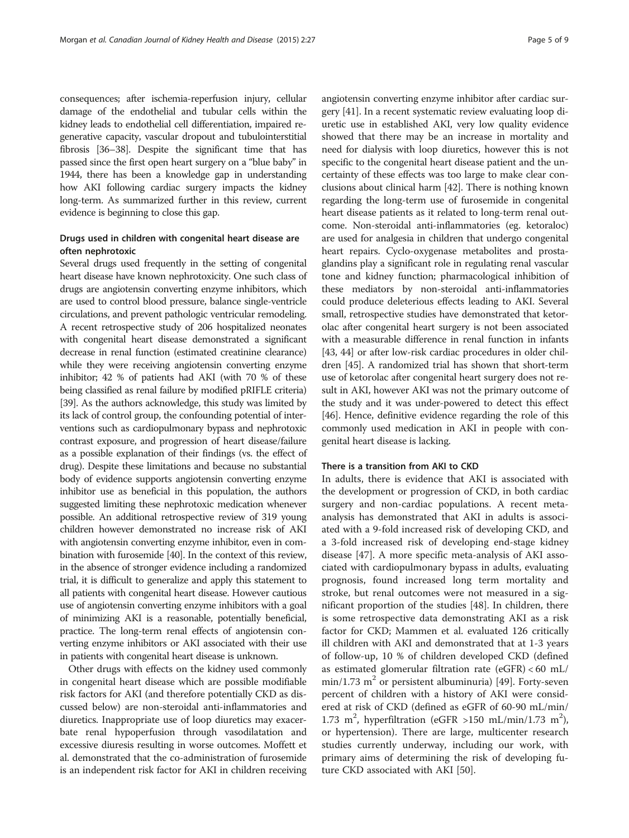consequences; after ischemia-reperfusion injury, cellular damage of the endothelial and tubular cells within the kidney leads to endothelial cell differentiation, impaired regenerative capacity, vascular dropout and tubulointerstitial fibrosis [\[36](#page-8-0)–[38\]](#page-8-0). Despite the significant time that has passed since the first open heart surgery on a "blue baby" in 1944, there has been a knowledge gap in understanding how AKI following cardiac surgery impacts the kidney long-term. As summarized further in this review, current evidence is beginning to close this gap.

## Drugs used in children with congenital heart disease are often nephrotoxic

Several drugs used frequently in the setting of congenital heart disease have known nephrotoxicity. One such class of drugs are angiotensin converting enzyme inhibitors, which are used to control blood pressure, balance single-ventricle circulations, and prevent pathologic ventricular remodeling. A recent retrospective study of 206 hospitalized neonates with congenital heart disease demonstrated a significant decrease in renal function (estimated creatinine clearance) while they were receiving angiotensin converting enzyme inhibitor; 42 % of patients had AKI (with 70 % of these being classified as renal failure by modified pRIFLE criteria) [[39](#page-8-0)]. As the authors acknowledge, this study was limited by its lack of control group, the confounding potential of interventions such as cardiopulmonary bypass and nephrotoxic contrast exposure, and progression of heart disease/failure as a possible explanation of their findings (vs. the effect of drug). Despite these limitations and because no substantial body of evidence supports angiotensin converting enzyme inhibitor use as beneficial in this population, the authors suggested limiting these nephrotoxic medication whenever possible. An additional retrospective review of 319 young children however demonstrated no increase risk of AKI with angiotensin converting enzyme inhibitor, even in combination with furosemide [[40](#page-8-0)]. In the context of this review, in the absence of stronger evidence including a randomized trial, it is difficult to generalize and apply this statement to all patients with congenital heart disease. However cautious use of angiotensin converting enzyme inhibitors with a goal of minimizing AKI is a reasonable, potentially beneficial, practice. The long-term renal effects of angiotensin converting enzyme inhibitors or AKI associated with their use in patients with congenital heart disease is unknown.

Other drugs with effects on the kidney used commonly in congenital heart disease which are possible modifiable risk factors for AKI (and therefore potentially CKD as discussed below) are non-steroidal anti-inflammatories and diuretics. Inappropriate use of loop diuretics may exacerbate renal hypoperfusion through vasodilatation and excessive diuresis resulting in worse outcomes. Moffett et al. demonstrated that the co-administration of furosemide is an independent risk factor for AKI in children receiving

angiotensin converting enzyme inhibitor after cardiac surgery [\[41\]](#page-8-0). In a recent systematic review evaluating loop diuretic use in established AKI, very low quality evidence showed that there may be an increase in mortality and need for dialysis with loop diuretics, however this is not specific to the congenital heart disease patient and the uncertainty of these effects was too large to make clear conclusions about clinical harm [[42](#page-8-0)]. There is nothing known regarding the long-term use of furosemide in congenital heart disease patients as it related to long-term renal outcome. Non-steroidal anti-inflammatories (eg. ketoraloc) are used for analgesia in children that undergo congenital heart repairs. Cyclo-oxygenase metabolites and prostaglandins play a significant role in regulating renal vascular tone and kidney function; pharmacological inhibition of these mediators by non-steroidal anti-inflammatories could produce deleterious effects leading to AKI. Several small, retrospective studies have demonstrated that ketorolac after congenital heart surgery is not been associated with a measurable difference in renal function in infants [[43](#page-8-0), [44](#page-8-0)] or after low-risk cardiac procedures in older children [[45](#page-8-0)]. A randomized trial has shown that short-term use of ketorolac after congenital heart surgery does not result in AKI, however AKI was not the primary outcome of the study and it was under-powered to detect this effect [[46](#page-8-0)]. Hence, definitive evidence regarding the role of this commonly used medication in AKI in people with congenital heart disease is lacking.

#### There is a transition from AKI to CKD

In adults, there is evidence that AKI is associated with the development or progression of CKD, in both cardiac surgery and non-cardiac populations. A recent metaanalysis has demonstrated that AKI in adults is associated with a 9-fold increased risk of developing CKD, and a 3-fold increased risk of developing end-stage kidney disease [[47\]](#page-8-0). A more specific meta-analysis of AKI associated with cardiopulmonary bypass in adults, evaluating prognosis, found increased long term mortality and stroke, but renal outcomes were not measured in a significant proportion of the studies [\[48](#page-8-0)]. In children, there is some retrospective data demonstrating AKI as a risk factor for CKD; Mammen et al. evaluated 126 critically ill children with AKI and demonstrated that at 1-3 years of follow-up, 10 % of children developed CKD (defined as estimated glomerular filtration rate (eGFR) < 60 mL/  $min/1.73$  m<sup>2</sup> or persistent albuminuria) [[49\]](#page-8-0). Forty-seven percent of children with a history of AKI were considered at risk of CKD (defined as eGFR of 60-90 mL/min/ 1.73 m<sup>2</sup>, hyperfiltration (eGFR >150 mL/min/1.73 m<sup>2</sup>), or hypertension). There are large, multicenter research studies currently underway, including our work, with primary aims of determining the risk of developing future CKD associated with AKI [[50](#page-8-0)].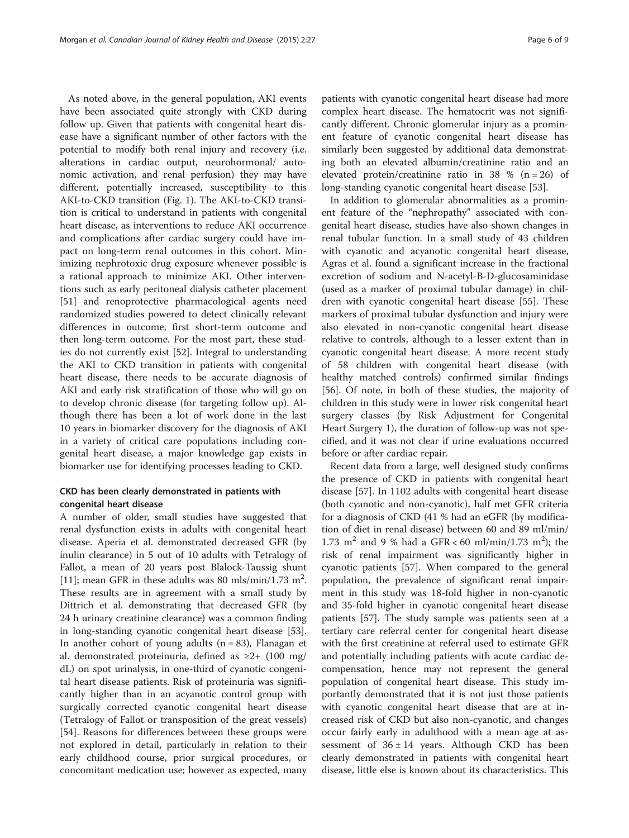As noted above, in the general population, AKI events have been associated quite strongly with CKD during follow up. Given that patients with congenital heart disease have a significant number of other factors with the potential to modify both renal injury and recovery (i.e. alterations in cardiac output, neurohormonal/ autonomic activation, and renal perfusion) they may have different, potentially increased, susceptibility to this AKI-to-CKD transition (Fig. [1\)](#page-2-0). The AKI-to-CKD transition is critical to understand in patients with congenital heart disease, as interventions to reduce AKI occurrence and complications after cardiac surgery could have impact on long-term renal outcomes in this cohort. Minimizing nephrotoxic drug exposure whenever possible is a rational approach to minimize AKI. Other interventions such as early peritoneal dialysis catheter placement [[51\]](#page-8-0) and renoprotective pharmacological agents need randomized studies powered to detect clinically relevant differences in outcome, first short-term outcome and then long-term outcome. For the most part, these studies do not currently exist [[52\]](#page-8-0). Integral to understanding the AKI to CKD transition in patients with congenital heart disease, there needs to be accurate diagnosis of AKI and early risk stratification of those who will go on to develop chronic disease (for targeting follow up). Although there has been a lot of work done in the last 10 years in biomarker discovery for the diagnosis of AKI in a variety of critical care populations including congenital heart disease, a major knowledge gap exists in biomarker use for identifying processes leading to CKD.

# CKD has been clearly demonstrated in patients with congenital heart disease

A number of older, small studies have suggested that renal dysfunction exists in adults with congenital heart disease. Aperia et al. demonstrated decreased GFR (by inulin clearance) in 5 out of 10 adults with Tetralogy of Fallot, a mean of 20 years post Blalock-Taussig shunt [[11\]](#page-7-0); mean GFR in these adults was 80 mls/min/1.73 m<sup>2</sup>. These results are in agreement with a small study by Dittrich et al. demonstrating that decreased GFR (by 24 h urinary creatinine clearance) was a common finding in long-standing cyanotic congenital heart disease [\[53](#page-8-0)]. In another cohort of young adults  $(n = 83)$ , Flanagan et al. demonstrated proteinuria, defined as ≥2+ (100 mg/ dL) on spot urinalysis, in one-third of cyanotic congenital heart disease patients. Risk of proteinuria was significantly higher than in an acyanotic control group with surgically corrected cyanotic congenital heart disease (Tetralogy of Fallot or transposition of the great vessels) [[54\]](#page-8-0). Reasons for differences between these groups were not explored in detail, particularly in relation to their early childhood course, prior surgical procedures, or concomitant medication use; however as expected, many

patients with cyanotic congenital heart disease had more complex heart disease. The hematocrit was not significantly different. Chronic glomerular injury as a prominent feature of cyanotic congenital heart disease has similarly been suggested by additional data demonstrating both an elevated albumin/creatinine ratio and an elevated protein/creatinine ratio in 38 % ( $n = 26$ ) of long-standing cyanotic congenital heart disease [\[53](#page-8-0)].

In addition to glomerular abnormalities as a prominent feature of the "nephropathy" associated with congenital heart disease, studies have also shown changes in renal tubular function. In a small study of 43 children with cyanotic and acyanotic congenital heart disease, Agras et al. found a significant increase in the fractional excretion of sodium and N-acetyl-B-D-glucosaminidase (used as a marker of proximal tubular damage) in children with cyanotic congenital heart disease [[55\]](#page-8-0). These markers of proximal tubular dysfunction and injury were also elevated in non-cyanotic congenital heart disease relative to controls, although to a lesser extent than in cyanotic congenital heart disease. A more recent study of 58 children with congenital heart disease (with healthy matched controls) confirmed similar findings [[56\]](#page-8-0). Of note, in both of these studies, the majority of children in this study were in lower risk congenital heart surgery classes (by Risk Adjustment for Congenital Heart Surgery 1), the duration of follow-up was not specified, and it was not clear if urine evaluations occurred before or after cardiac repair.

Recent data from a large, well designed study confirms the presence of CKD in patients with congenital heart disease [[57](#page-8-0)]. In 1102 adults with congenital heart disease (both cyanotic and non-cyanotic), half met GFR criteria for a diagnosis of CKD (41 % had an eGFR (by modification of diet in renal disease) between 60 and 89 ml/min/ 1.73 m<sup>2</sup> and 9 % had a GFR < 60 ml/min/1.73 m<sup>2</sup>); the risk of renal impairment was significantly higher in cyanotic patients [\[57](#page-8-0)]. When compared to the general population, the prevalence of significant renal impairment in this study was 18-fold higher in non-cyanotic and 35-fold higher in cyanotic congenital heart disease patients [\[57](#page-8-0)]. The study sample was patients seen at a tertiary care referral center for congenital heart disease with the first creatinine at referral used to estimate GFR and potentially including patients with acute cardiac decompensation, hence may not represent the general population of congenital heart disease. This study importantly demonstrated that it is not just those patients with cyanotic congenital heart disease that are at increased risk of CKD but also non-cyanotic, and changes occur fairly early in adulthood with a mean age at assessment of  $36 \pm 14$  years. Although CKD has been clearly demonstrated in patients with congenital heart disease, little else is known about its characteristics. This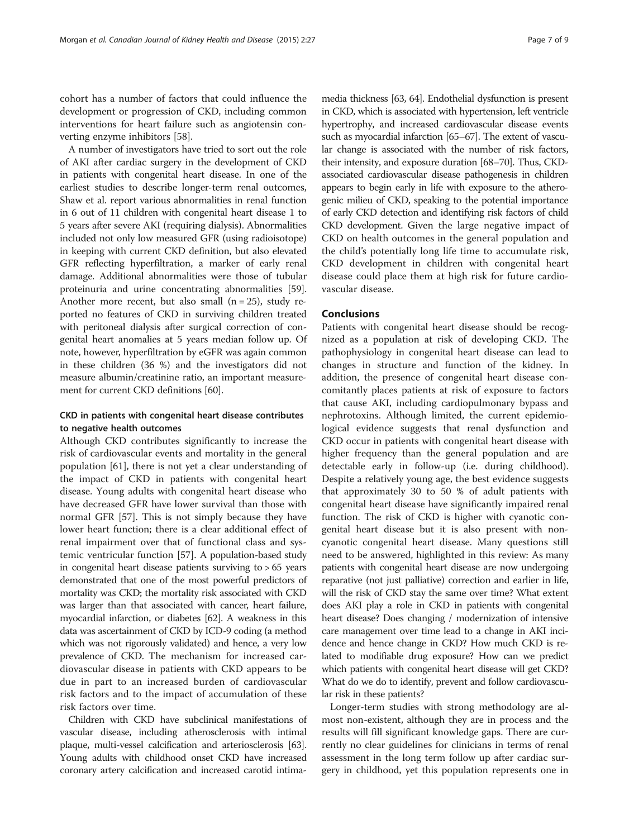cohort has a number of factors that could influence the development or progression of CKD, including common interventions for heart failure such as angiotensin converting enzyme inhibitors [\[58](#page-8-0)].

A number of investigators have tried to sort out the role of AKI after cardiac surgery in the development of CKD in patients with congenital heart disease. In one of the earliest studies to describe longer-term renal outcomes, Shaw et al. report various abnormalities in renal function in 6 out of 11 children with congenital heart disease 1 to 5 years after severe AKI (requiring dialysis). Abnormalities included not only low measured GFR (using radioisotope) in keeping with current CKD definition, but also elevated GFR reflecting hyperfiltration, a marker of early renal damage. Additional abnormalities were those of tubular proteinuria and urine concentrating abnormalities [[59](#page-8-0)]. Another more recent, but also small  $(n = 25)$ , study reported no features of CKD in surviving children treated with peritoneal dialysis after surgical correction of congenital heart anomalies at 5 years median follow up. Of note, however, hyperfiltration by eGFR was again common in these children (36 %) and the investigators did not measure albumin/creatinine ratio, an important measurement for current CKD definitions [[60](#page-8-0)].

# CKD in patients with congenital heart disease contributes to negative health outcomes

Although CKD contributes significantly to increase the risk of cardiovascular events and mortality in the general population [\[61\]](#page-8-0), there is not yet a clear understanding of the impact of CKD in patients with congenital heart disease. Young adults with congenital heart disease who have decreased GFR have lower survival than those with normal GFR [\[57](#page-8-0)]. This is not simply because they have lower heart function; there is a clear additional effect of renal impairment over that of functional class and systemic ventricular function [[57\]](#page-8-0). A population-based study in congenital heart disease patients surviving to > 65 years demonstrated that one of the most powerful predictors of mortality was CKD; the mortality risk associated with CKD was larger than that associated with cancer, heart failure, myocardial infarction, or diabetes [[62](#page-8-0)]. A weakness in this data was ascertainment of CKD by ICD-9 coding (a method which was not rigorously validated) and hence, a very low prevalence of CKD. The mechanism for increased cardiovascular disease in patients with CKD appears to be due in part to an increased burden of cardiovascular risk factors and to the impact of accumulation of these risk factors over time.

Children with CKD have subclinical manifestations of vascular disease, including atherosclerosis with intimal plaque, multi-vessel calcification and arteriosclerosis [\[63](#page-8-0)]. Young adults with childhood onset CKD have increased coronary artery calcification and increased carotid intima-

media thickness [\[63, 64](#page-8-0)]. Endothelial dysfunction is present in CKD, which is associated with hypertension, left ventricle hypertrophy, and increased cardiovascular disease events such as myocardial infarction [\[65](#page-8-0)–[67\]](#page-8-0). The extent of vascular change is associated with the number of risk factors, their intensity, and exposure duration [[68](#page-8-0)–[70](#page-8-0)]. Thus, CKDassociated cardiovascular disease pathogenesis in children appears to begin early in life with exposure to the atherogenic milieu of CKD, speaking to the potential importance of early CKD detection and identifying risk factors of child CKD development. Given the large negative impact of CKD on health outcomes in the general population and the child's potentially long life time to accumulate risk, CKD development in children with congenital heart disease could place them at high risk for future cardiovascular disease.

# Conclusions

Patients with congenital heart disease should be recognized as a population at risk of developing CKD. The pathophysiology in congenital heart disease can lead to changes in structure and function of the kidney. In addition, the presence of congenital heart disease concomitantly places patients at risk of exposure to factors that cause AKI, including cardiopulmonary bypass and nephrotoxins. Although limited, the current epidemiological evidence suggests that renal dysfunction and CKD occur in patients with congenital heart disease with higher frequency than the general population and are detectable early in follow-up (i.e. during childhood). Despite a relatively young age, the best evidence suggests that approximately 30 to 50 % of adult patients with congenital heart disease have significantly impaired renal function. The risk of CKD is higher with cyanotic congenital heart disease but it is also present with noncyanotic congenital heart disease. Many questions still need to be answered, highlighted in this review: As many patients with congenital heart disease are now undergoing reparative (not just palliative) correction and earlier in life, will the risk of CKD stay the same over time? What extent does AKI play a role in CKD in patients with congenital heart disease? Does changing / modernization of intensive care management over time lead to a change in AKI incidence and hence change in CKD? How much CKD is related to modifiable drug exposure? How can we predict which patients with congenital heart disease will get CKD? What do we do to identify, prevent and follow cardiovascular risk in these patients?

Longer-term studies with strong methodology are almost non-existent, although they are in process and the results will fill significant knowledge gaps. There are currently no clear guidelines for clinicians in terms of renal assessment in the long term follow up after cardiac surgery in childhood, yet this population represents one in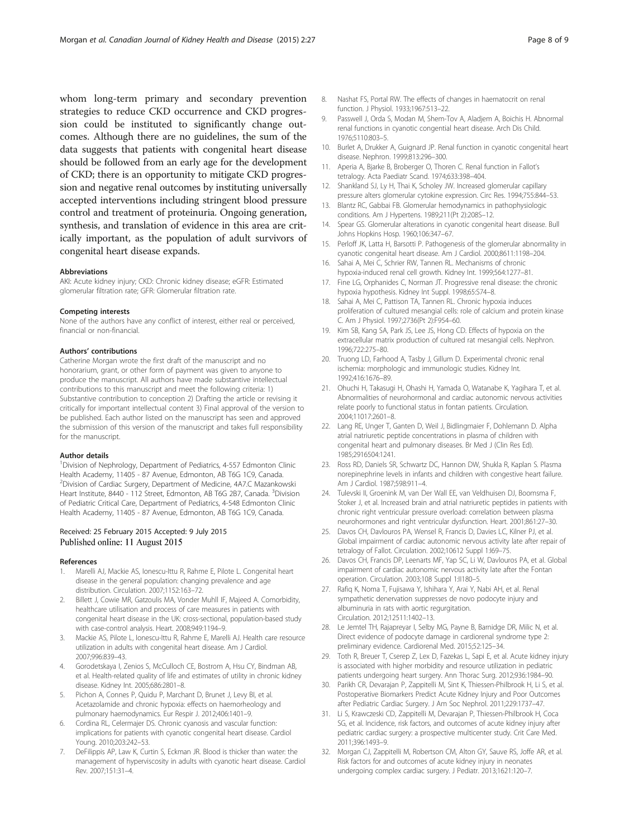<span id="page-7-0"></span>whom long-term primary and secondary prevention strategies to reduce CKD occurrence and CKD progression could be instituted to significantly change outcomes. Although there are no guidelines, the sum of the data suggests that patients with congenital heart disease should be followed from an early age for the development of CKD; there is an opportunity to mitigate CKD progression and negative renal outcomes by instituting universally accepted interventions including stringent blood pressure control and treatment of proteinuria. Ongoing generation, synthesis, and translation of evidence in this area are critically important, as the population of adult survivors of congenital heart disease expands.

#### Abbreviations

AKI: Acute kidney injury; CKD: Chronic kidney disease; eGFR: Estimated glomerular filtration rate; GFR: Glomerular filtration rate.

#### Competing interests

None of the authors have any conflict of interest, either real or perceived, financial or non-financial.

#### Authors' contributions

Catherine Morgan wrote the first draft of the manuscript and no honorarium, grant, or other form of payment was given to anyone to produce the manuscript. All authors have made substantive intellectual contributions to this manuscript and meet the following criteria: 1) Substantive contribution to conception 2) Drafting the article or revising it critically for important intellectual content 3) Final approval of the version to be published. Each author listed on the manuscript has seen and approved the submission of this version of the manuscript and takes full responsibility for the manuscript.

#### Author details

<sup>1</sup> Division of Nephrology, Department of Pediatrics, 4-557 Edmonton Clinic Health Academy, 11405 - 87 Avenue, Edmonton, AB T6G 1C9, Canada. <sup>2</sup> Division of Cardiac Surgery, Department of Medicine, 4A7.C Mazankowski Heart Institute, 8440 - 112 Street, Edmonton, AB T6G 2B7, Canada. <sup>3</sup>Division of Pediatric Critical Care, Department of Pediatrics, 4-548 Edmonton Clinic Health Academy, 11405 - 87 Avenue, Edmonton, AB T6G 1C9, Canada.

#### Received: 25 February 2015 Accepted: 9 July 2015 Published online: 11 August 2015

#### References

- 1. Marelli AJ, Mackie AS, Ionescu-Ittu R, Rahme E, Pilote L. Congenital heart disease in the general population: changing prevalence and age distribution. Circulation. 2007;1152:163–72.
- 2. Billett J, Cowie MR, Gatzoulis MA, Vonder Muhll IF, Majeed A. Comorbidity, healthcare utilisation and process of care measures in patients with congenital heart disease in the UK: cross-sectional, population-based study with case-control analysis. Heart. 2008;949:1194–9.
- 3. Mackie AS, Pilote L, Ionescu-Ittu R, Rahme E, Marelli AJ. Health care resource utilization in adults with congenital heart disease. Am J Cardiol. 2007;996:839–43.
- 4. Gorodetskaya I, Zenios S, McCulloch CE, Bostrom A, Hsu CY, Bindman AB, et al. Health-related quality of life and estimates of utility in chronic kidney disease. Kidney Int. 2005;686:2801–8.
- 5. Pichon A, Connes P, Quidu P, Marchant D, Brunet J, Levy BI, et al. Acetazolamide and chronic hypoxia: effects on haemorheology and pulmonary haemodynamics. Eur Respir J. 2012;406:1401–9.
- 6. Cordina RL, Celermajer DS. Chronic cyanosis and vascular function: implications for patients with cyanotic congenital heart disease. Cardiol Young. 2010;203:242–53.
- 7. DeFilippis AP, Law K, Curtin S, Eckman JR. Blood is thicker than water: the management of hyperviscosity in adults with cyanotic heart disease. Cardiol Rev. 2007;151:31–4.
- 8. Nashat FS, Portal RW. The effects of changes in haematocrit on renal function. J Physiol. 1933;1967:513–22.
- 9. Passwell J, Orda S, Modan M, Shem-Tov A, Aladjem A, Boichis H. Abnormal renal functions in cyanotic congential heart disease. Arch Dis Child. 1976;5110:803–5.
- 10. Burlet A, Drukker A, Guignard JP. Renal function in cyanotic congenital heart disease. Nephron. 1999;813:296–300.
- 11. Aperia A, Bjarke B, Broberger O, Thoren C. Renal function in Fallot's tetralogy. Acta Paediatr Scand. 1974;633:398–404.
- 12. Shankland SJ, Ly H, Thai K, Scholey JW. Increased glomerular capillary pressure alters glomerular cytokine expression. Circ Res. 1994;755:844–53.
- 13. Blantz RC, Gabbai FB. Glomerular hemodynamics in pathophysiologic conditions. Am J Hypertens. 1989;211(Pt 2):208S–12.
- 14. Spear GS. Glomerular alterations in cyanotic congenital heart disease. Bull Johns Hopkins Hosp. 1960;106:347–67.
- 15. Perloff JK, Latta H, Barsotti P. Pathogenesis of the glomerular abnormality in cyanotic congenital heart disease. Am J Cardiol. 2000;8611:1198–204.
- 16. Sahai A, Mei C, Schrier RW, Tannen RL. Mechanisms of chronic hypoxia-induced renal cell growth. Kidney Int. 1999;564:1277–81.
- 17. Fine LG, Orphanides C, Norman JT. Progressive renal disease: the chronic hypoxia hypothesis. Kidney Int Suppl. 1998;65:S74–8.
- 18. Sahai A, Mei C, Pattison TA, Tannen RL. Chronic hypoxia induces proliferation of cultured mesangial cells: role of calcium and protein kinase C. Am J Physiol. 1997;2736(Pt 2):F954–60.
- 19. Kim SB, Kang SA, Park JS, Lee JS, Hong CD. Effects of hypoxia on the extracellular matrix production of cultured rat mesangial cells. Nephron. 1996;722:275–80.
- 20. Truong LD, Farhood A, Tasby J, Gillum D. Experimental chronic renal ischemia: morphologic and immunologic studies. Kidney Int. 1992;416:1676–89.
- 21. Ohuchi H, Takasugi H, Ohashi H, Yamada O, Watanabe K, Yagihara T, et al. Abnormalities of neurohormonal and cardiac autonomic nervous activities relate poorly to functional status in fontan patients. Circulation. 2004;11017:2601–8.
- 22. Lang RE, Unger T, Ganten D, Weil J, Bidlingmaier F, Dohlemann D. Alpha atrial natriuretic peptide concentrations in plasma of children with congenital heart and pulmonary diseases. Br Med J (Clin Res Ed). 1985;2916504:1241.
- 23. Ross RD, Daniels SR, Schwartz DC, Hannon DW, Shukla R, Kaplan S. Plasma norepinephrine levels in infants and children with congestive heart failure. Am J Cardiol. 1987;598:911–4.
- 24. Tulevski II, Groenink M, van Der Wall EE, van Veldhuisen DJ, Boomsma F, Stoker J, et al. Increased brain and atrial natriuretic peptides in patients with chronic right ventricular pressure overload: correlation between plasma neurohormones and right ventricular dysfunction. Heart. 2001;861:27–30.
- 25. Davos CH, Davlouros PA, Wensel R, Francis D, Davies LC, Kilner PJ, et al. Global impairment of cardiac autonomic nervous activity late after repair of tetralogy of Fallot. Circulation. 2002;10612 Suppl 1: 69-75.
- 26. Davos CH, Francis DP, Leenarts MF, Yap SC, Li W, Davlouros PA, et al. Global impairment of cardiac autonomic nervous activity late after the Fontan operation. Circulation. 2003;108 Suppl 1:II180–5.
- 27. Rafiq K, Noma T, Fujisawa Y, Ishihara Y, Arai Y, Nabi AH, et al. Renal sympathetic denervation suppresses de novo podocyte injury and albuminuria in rats with aortic regurgitation. Circulation. 2012;12511:1402–13.
- 28. Le Jemtel TH, Rajapreyar I, Selby MG, Payne B, Barnidge DR, Milic N, et al. Direct evidence of podocyte damage in cardiorenal syndrome type 2: preliminary evidence. Cardiorenal Med. 2015;52:125–34.
- 29. Toth R, Breuer T, Cserep Z, Lex D, Fazekas L, Sapi E, et al. Acute kidney injury is associated with higher morbidity and resource utilization in pediatric patients undergoing heart surgery. Ann Thorac Surg. 2012;936:1984–90.
- 30. Parikh CR, Devarajan P, Zappitelli M, Sint K, Thiessen-Philbrook H, Li S, et al. Postoperative Biomarkers Predict Acute Kidney Injury and Poor Outcomes after Pediatric Cardiac Surgery. J Am Soc Nephrol. 2011;229:1737–47.
- 31. Li S, Krawczeski CD, Zappitelli M, Devarajan P, Thiessen-Philbrook H, Coca SG, et al. Incidence, risk factors, and outcomes of acute kidney injury after pediatric cardiac surgery: a prospective multicenter study. Crit Care Med. 2011;396:1493–9.
- 32. Morgan CJ, Zappitelli M, Robertson CM, Alton GY, Sauve RS, Joffe AR, et al. Risk factors for and outcomes of acute kidney injury in neonates undergoing complex cardiac surgery. J Pediatr. 2013;1621:120–7.